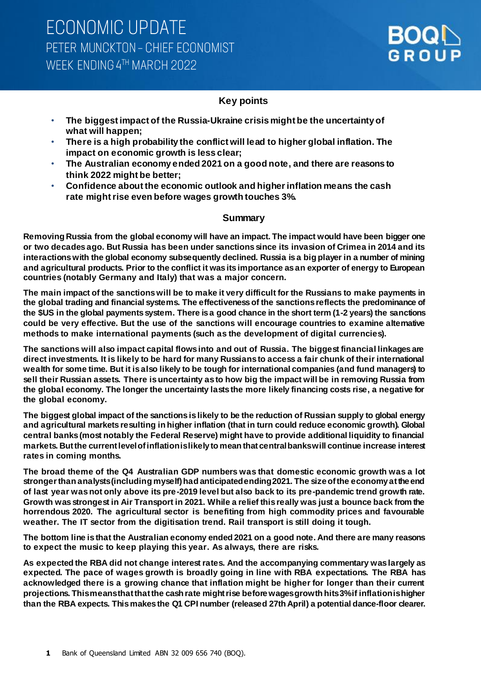### **Key points**

- **The biggest impact of the Russia-Ukraine crisis might be the uncertainty of what will happen;**
- **There is a high probability the conflict will lead to higher global inflation. The impact on economic growth is less clear;**
- **The Australian economy ended 2021 on a good note, and there are reasons to think 2022 might be better;**
- **Confidence about the economic outlook and higher inflation means the cash rate might rise even before wages growth touches 3%.**

### **Summary**

**Removing Russia from the global economy will have an impact. The impact would have been bigger one or two decades ago. But Russia has been under sanctions since its invasion of Crimea in 2014 and its interactions with the global economy subsequently declined. Russia isa big player in a number of mining and agricultural products. Prior to the conflict it was itsimportance as an exporter of energy to European countries (notably Germany and Italy) that was a major concern.** 

**The main impact of the sanctions will be to make it very difficult for the Russians to make payments in the global trading and financial systems. The effectiveness of the sanctions reflects the predominance of the \$US in the global payments system. There is a good chance in the short term (1-2 years) the sanctions could be very effective. But the use of the sanctions will encourage countries to examine alternative methods to make international payments (such as the development of digital currencies).**

**The sanctions will also impact capital flows into and out of Russia. The biggest financial linkages are direct investments. It is likely to be hard for many Russians to access a fair chunk of their international wealth for some time. But it is also likely to be tough for international companies (and fund managers) to sell their Russian assets. There isuncertainty as to how big the impact will be in removing Russia from the global economy. The longer the uncertainty lasts the more likely financing costs rise, a negative for the global economy.**

**The biggest global impact of the sanctions is likely to be the reduction of Russian supply to global energy and agricultural markets resulting in higher inflation (that in turn could reduce economic growth). Global central banks (most notably the Federal Reserve) might have to provide additional liquidity to financial markets. But the current level of inflation is likely to mean that central banks will continue increase interest rates in coming months.** 

**The broad theme of the Q4 Australian GDP numbers was that domestic economic growth was a lot stronger than analysts (including myself) had anticipated ending 2021. The size of the economy at the end of last year was not only above its pre-2019 level but also back to its pre-pandemic trend growth rate. Growth was strongest in Air Transport in 2021. While a relief this really was just a bounce back from the horrendous 2020. The agricultural sector is benefiting from high commodity prices and favourable weather. The IT sector from the digitisation trend. Rail transport is still doing it tough.** 

**The bottom line is that the Australian economy ended 2021 on a good note. And there are many reasons to expect the music to keep playing this year. As always, there are risks.** 

**As expected the RBA did not change interest rates. And the accompanying commentary was largely as expected. The pace of wages growth is broadly going in line with RBA expectations. The RBA has acknowledged there is a growing chance that inflation might be higher for longer than their current projections. This means that that the cash rate might rise before wages growth hits 3% if inflation is higher than the RBA expects. This makes the Q1 CPI number (released 27th April) a potential dance-floor clearer.**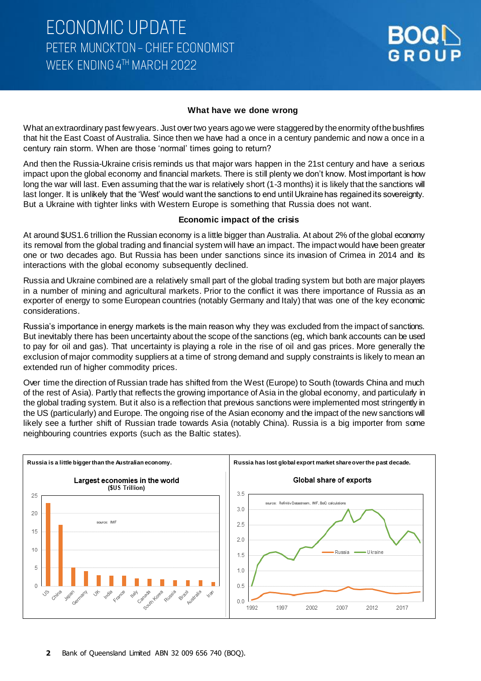#### **What have we done wrong**

What an extraordinary past few years. Just over two years ago we were staggered by the enormity of the bushfires that hit the East Coast of Australia. Since then we have had a once in a century pandemic and now a once in a century rain storm. When are those 'normal' times going to return?

And then the Russia-Ukraine crisis reminds us that major wars happen in the 21st century and have a serious impact upon the global economy and financial markets. There is still plenty we don't know. Most important is how long the war will last. Even assuming that the war is relatively short (1-3 months) it is likely that the sanctions will last longer. It is unlikely that the 'West' would want the sanctions to end until Ukraine has regained its sovereignty. But a Ukraine with tighter links with Western Europe is something that Russia does not want.

#### **Economic impact of the crisis**

At around \$US1.6 trillion the Russian economy is a little bigger than Australia. At about 2% of the global economy its removal from the global trading and financial system will have an impact. The impact would have been greater one or two decades ago. But Russia has been under sanctions since its invasion of Crimea in 2014 and its interactions with the global economy subsequently declined.

Russia and Ukraine combined are a relatively small part of the global trading system but both are major players in a number of mining and agricultural markets. Prior to the conflict it was there importance of Russia as an exporter of energy to some European countries (notably Germany and Italy) that was one of the key economic considerations.

Russia's importance in energy markets is the main reason why they was excluded from the impact of sanctions. But inevitably there has been uncertainty about the scope of the sanctions (eg, which bank accounts can be used to pay for oil and gas). That uncertainty is playing a role in the rise of oil and gas prices. More generally the exclusion of major commodity suppliers at a time of strong demand and supply constraints is likely to mean an extended run of higher commodity prices.

Over time the direction of Russian trade has shifted from the West (Europe) to South (towards China and much of the rest of Asia). Partly that reflects the growing importance of Asia in the global economy, and particularly in the global trading system. But it also is a reflection that previous sanctions were implemented most stringently in the US (particularly) and Europe. The ongoing rise of the Asian economy and the impact of the new sanctions will likely see a further shift of Russian trade towards Asia (notably China). Russia is a big importer from some neighbouring countries exports (such as the Baltic states).

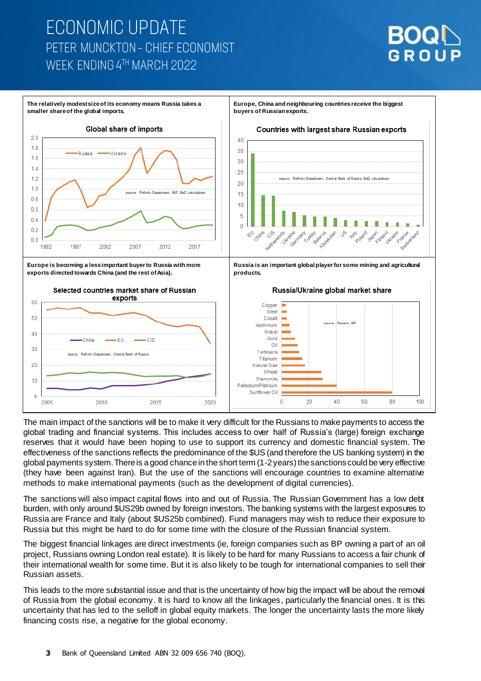## **ECONOMIC UPDATE** PETER MUNCKTON - CHIEF ECONOMIST WEEK ENDING 4TH MARCH 2022





The main impact of the sanctions will be to make it very difficult for the Russians to make payments to access the global trading and financial systems. This includes access to over half of Russia's (large) foreign exchange reserves that it would have been hoping to use to support its currency and domestic financial system. The effectiveness of the sanctions reflects the predominance of the \$US (and therefore the US banking system) in the global payments system. There is a good chance in the short term (1-2years) the sanctions could be very effective (they have been against Iran). But the use of the sanctions will encourage countries to examine alternative methods to make international payments (such as the development of digital currencies).

The sanctions will also impact capital flows into and out of Russia. The Russian Government has a low debt burden, with only around \$US29b owned by foreign investors. The banking systems with the largest exposures to Russia are France and Italy (about \$US25b combined). Fund managers may wish to reduce their exposure to Russia but this might be hard to do for some time with the closure of the Russian financial system.

The biggest financial linkages are direct investments (ie, foreign companies such as BP owning a part of an oil project, Russians owning London real estate). It is likely to be hard for many Russians to access a fair chunk of their international wealth for some time. But it is also likely to be tough for international companies to sell their Russian assets.

This leads to the more substantial issue and that is the uncertainty of how big the impact will be about the removal of Russia from the global economy. It is hard to know all the linkages, particularly the financial ones. It is this uncertainty that has led to the selloff in global equity markets. The longer the uncertainty lasts the more likely financing costs rise, a negative for the global economy.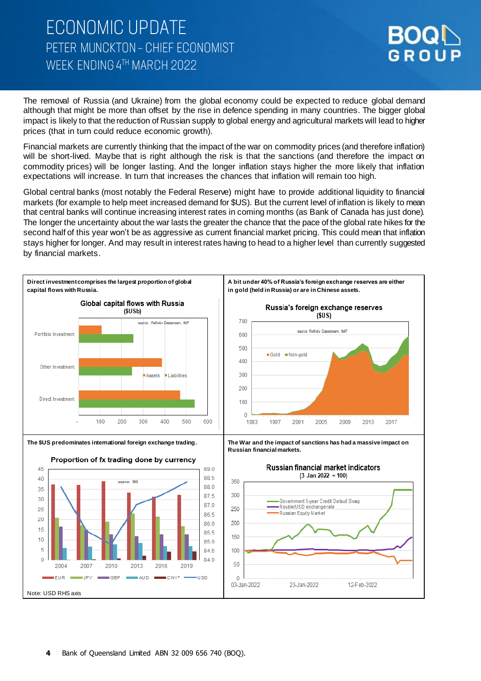## **ECONOMIC UPDATE** PETER MUNCKTON - CHIEF ECONOMIST WFFK FNDING 4TH MARCH 2022



The removal of Russia (and Ukraine) from the global economy could be expected to reduce global demand although that might be more than offset by the rise in defence spending in many countries. The bigger global impact is likely to that the reduction of Russian supply to global energy and agricultural markets will lead to higher prices (that in turn could reduce economic growth).

Financial markets are currently thinking that the impact of the war on commodity prices (and therefore inflation) will be short-lived. Maybe that is right although the risk is that the sanctions (and therefore the impact on commodity prices) will be longer lasting. And the longer inflation stays higher the more likely that inflation expectations will increase. In turn that increases the chances that inflation will remain too high.

Global central banks (most notably the Federal Reserve) might have to provide additional liquidity to financial markets (for example to help meet increased demand for \$US). But the current level of inflation is likely to mean that central banks will continue increasing interest rates in coming months (as Bank of Canada has just done). The longer the uncertainty about the war lasts the greater the chance that the pace of the global rate hikes for the second half of this year won't be as aggressive as current financial market pricing. This could mean that inflation stays higher for longer. And may result in interest rates having to head to a higher level than currently suggested by financial markets.

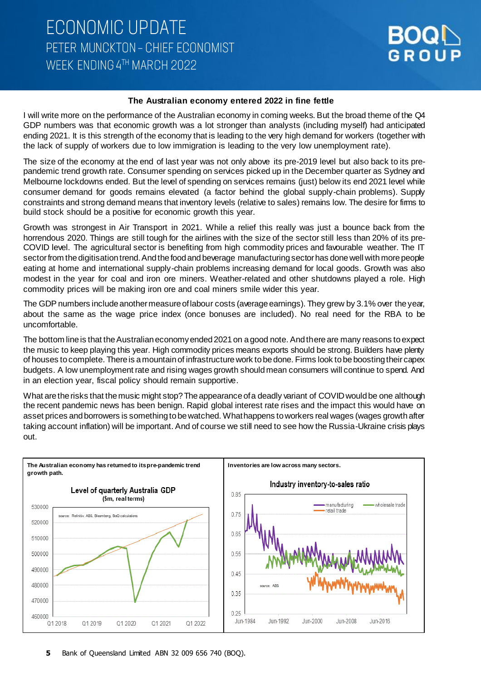

#### **The Australian economy entered 2022 in fine fettle**

I will write more on the performance of the Australian economy in coming weeks. But the broad theme of the Q4 GDP numbers was that economic growth was a lot stronger than analysts (including myself) had anticipated ending 2021. It is this strength of the economy that is leading to the very high demand for workers (together with the lack of supply of workers due to low immigration is leading to the very low unemployment rate).

The size of the economy at the end of last year was not only above its pre-2019 level but also back to its prepandemic trend growth rate. Consumer spending on services picked up in the December quarter as Sydney and Melbourne lockdowns ended. But the level of spending on services remains (just) below its end 2021 level while consumer demand for goods remains elevated (a factor behind the global supply-chain problems). Supply constraints and strong demand means that inventory levels (relative to sales) remains low. The desire for firms to build stock should be a positive for economic growth this year.

Growth was strongest in Air Transport in 2021. While a relief this really was just a bounce back from the horrendous 2020. Things are still tough for the airlines with the size of the sector still less than 20% of its pre-COVID level. The agricultural sector is benefiting from high commodity prices and favourable weather. The IT sector from the digitisation trend. And the food and beverage manufacturing sector has done well with more people eating at home and international supply-chain problems increasing demand for local goods. Growth was also modest in the year for coal and iron ore miners. Weather-related and other shutdowns played a role. High commodity prices will be making iron ore and coal miners smile wider this year.

The GDP numbers include another measure of labour costs (average earnings). They grew by 3.1% over the year, about the same as the wage price index (once bonuses are included). No real need for the RBA to be uncomfortable.

The bottom line is that the Australian economy ended 2021 on a good note. And there are many reasons to expect the music to keep playing this year. High commodity prices means exports should be strong. Builders have plenty of houses to complete. There is a mountain of infrastructure work to be done. Firms look to be boosting their capex budgets. A low unemployment rate and rising wages growth should mean consumers will continue to spend. And in an election year, fiscal policy should remain supportive.

What are the risks that the music might stop? The appearance of a deadly variant of COVID would be one although the recent pandemic news has been benign. Rapid global interest rate rises and the impact this would have on asset prices and borrowers is something to be watched. What happens to workers real wages (wages growth after taking account inflation) will be important. And of course we still need to see how the Russia-Ukraine crisis plays out.

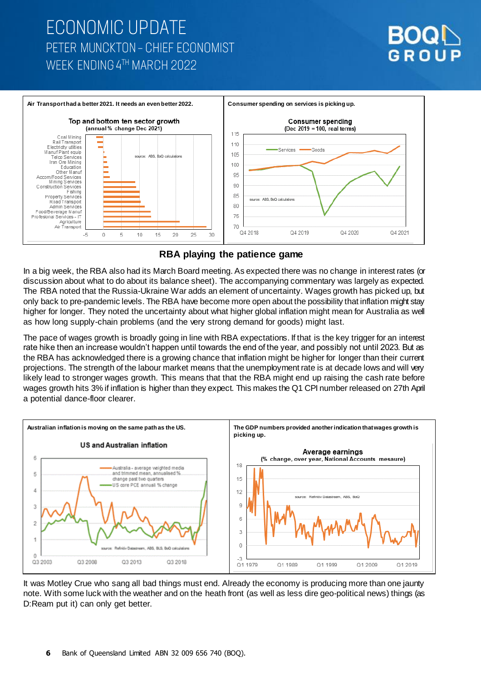## **ECONOMIC UPDATE** PETER MUNCKTON - CHIEF ECONOMIST WFFK FNDING 4TH MARCH 2022





### **RBA playing the patience game**

In a big week, the RBA also had its March Board meeting. As expected there was no change in interest rates (or discussion about what to do about its balance sheet). The accompanying commentary was largely as expected. The RBA noted that the Russia-Ukraine War adds an element of uncertainty. Wages growth has picked up, but only back to pre-pandemic levels. The RBA have become more open about the possibility that inflation might stay higher for longer. They noted the uncertainty about what higher global inflation might mean for Australia as well as how long supply-chain problems (and the very strong demand for goods) might last.

The pace of wages growth is broadly going in line with RBA expectations. If that is the key trigger for an interest rate hike then an increase wouldn't happen until towards the end of the year, and possibly not until 2023. But as the RBA has acknowledged there is a growing chance that inflation might be higher for longer than their current projections. The strength of the labour market means that the unemployment rate is at decade lows and will very likely lead to stronger wages growth. This means that that the RBA might end up raising the cash rate before wages growth hits 3% if inflation is higher than they expect. This makes the Q1 CPI number released on 27th April a potential dance-floor clearer.



It was Motley Crue who sang all bad things must end. Already the economy is producing more than one jaunty note. With some luck with the weather and on the heath front (as well as less dire geo-political news) things (as D:Ream put it) can only get better.